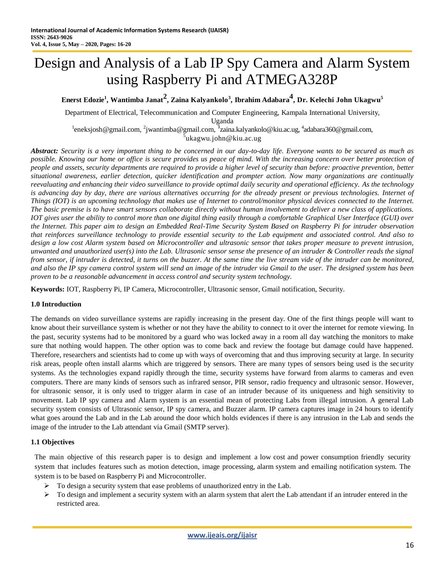# Design and Analysis of a Lab IP Spy Camera and Alarm System using Raspberry Pi and ATMEGA328P

**Enerst Edozie 1 , Wantimba Janat<sup>2</sup> , Zaina Kalyankolo<sup>3</sup> , Ibrahim Adabara 4 , Dr. Kelechi John Ukagwu<sup>5</sup>**

Department of Electrical, Telecommunication and Computer Engineering, Kampala International University, Uganda

 $^{1}$ eneksjosh @gmail.com,  $^{2}$ jwantimba @gmail.com,  $^{3}$ zaina.kalyankolo @kiu.ac.ug,  $^{4}$ adabara360@gmail.com, <sup>5</sup>ukagwu.john@kiu.ac.ug

*Abstract: Security is a very important thing to be concerned in our day-to-day life. Everyone wants to be secured as much as possible. Knowing our home or office is secure provides us peace of mind. With the increasing concern over better protection of people and assets, security departments are required to provide a higher level of security than before: proactive prevention, better situational awareness, earlier detection, quicker identification and prompter action. Now many organizations are continually reevaluating and enhancing their video surveillance to provide optimal daily security and operational efficiency. As the technology is advancing day by day, there are various alternatives occurring for the already present or previous technologies. Internet of Things (IOT) is an upcoming technology that makes use of Internet to control/monitor physical devices connected to the Internet. The basic premise is to have smart sensors collaborate directly without human involvement to deliver a new class of applications. IOT gives user the ability to control more than one digital thing easily through a comfortable Graphical User Interface (GUI) over the Internet. This paper aim to design an Embedded Real-Time Security System Based on Raspberry Pi for intruder observation* that reinforces surveillance technology to provide essential security to the Lab equipment and associated control. And also to *design a low cost Alarm system based on Microcontroller and ultrasonic sensor that takes proper measure to prevent intrusion, unwanted and unauthorized user(s) into the Lab. Ultrasonic sensor sense the presence of an intruder & Controller reads the signal from sensor, if intruder is detected, it turns on the buzzer. At the same time the live stream vide of the intruder can be monitored, and also the IP spy camera control system will send an image of the intruder via Gmail to the user. The designed system has been proven to be a reasonable advancement in access control and security system technology.*

**Keywords:** IOT, Raspberry Pi, IP Camera, Microcontroller, Ultrasonic sensor, Gmail notification, Security.

# **1.0 Introduction**

The demands on video surveillance systems are rapidly increasing in the present day. One of the first things people will want to know about their surveillance system is whether or not they have the ability to connect to it over the internet for remote viewing. In the past, security systems had to be monitored by a guard who was locked away in a room all day watching the monitors to make sure that nothing would happen. The other option was to come back and review the footage but damage could have happened. Therefore, researchers and scientists had to come up with ways of overcoming that and thus improving security at large. In security risk areas, people often install alarms which are triggered by sensors. There are many types of sensors being used is the security systems. As the technologies expand rapidly through the time, security systems have forward from alarms to cameras and even computers. There are many kinds of sensors such as infrared sensor, PIR sensor, radio frequency and ultrasonic sensor. However, for ultrasonic sensor, it is only used to trigger alarm in case of an intruder because of its uniqueness and high sensitivity to movement. Lab IP spy camera and Alarm system is an essential mean of protecting Labs from illegal intrusion. A general Lab security system consists of Ultrasonic sensor, IP spy camera, and Buzzer alarm. IP camera captures image in 24 hours to identify what goes around the Lab and in the Lab around the door which holds evidences if there is any intrusion in the Lab and sends the image of the intruder to the Lab attendant via Gmail (SMTP server).

# **1.1 Objectives**

The main objective of this research paper is to design and implement a low cost and power consumption friendly security system that includes features such as motion detection, image processing, alarm system and emailing notification system. The system is to be based on Raspberry Pi and Microcontroller.

- $\triangleright$  To design a security system that ease problems of unauthorized entry in the Lab.
- $\triangleright$  To design and implement a security system with an alarm system that alert the Lab attendant if an intruder entered in the restricted area.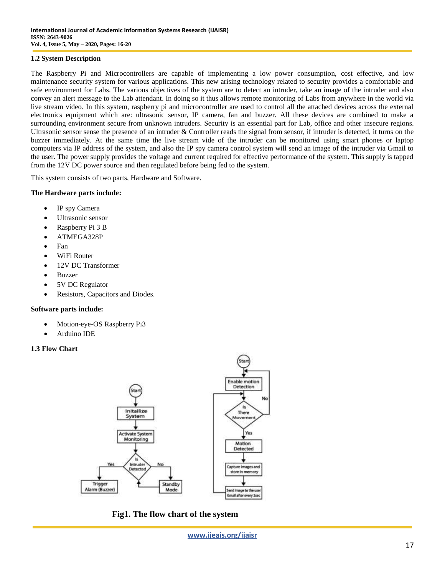## **1.2 System Description**

The Raspberry Pi and Microcontrollers are capable of implementing a low power consumption, cost effective, and low maintenance security system for various applications. This new arising technology related to security provides a comfortable and safe environment for Labs. The various objectives of the system are to detect an intruder, take an image of the intruder and also convey an alert message to the Lab attendant. In doing so it thus allows remote monitoring of Labs from anywhere in the world via live stream video. In this system, raspberry pi and microcontroller are used to control all the attached devices across the external electronics equipment which are: ultrasonic sensor, IP camera, fan and buzzer. All these devices are combined to make a surrounding environment secure from unknown intruders. Security is an essential part for Lab, office and other insecure regions. Ultrasonic sensor sense the presence of an intruder & Controller reads the signal from sensor, if intruder is detected, it turns on the buzzer immediately. At the same time the live stream vide of the intruder can be monitored using smart phones or laptop computers via IP address of the system, and also the IP spy camera control system will send an image of the intruder via Gmail to the user. The power supply provides the voltage and current required for effective performance of the system. This supply is tapped from the 12V DC power source and then regulated before being fed to the system.

This system consists of two parts, Hardware and Software.

## **The Hardware parts include:**

- IP spy Camera
- Ultrasonic sensor
- Raspberry Pi 3 B
- ATMEGA328P
- $\bullet$  Fan
- WiFi Router
- 12V DC Transformer
- Buzzer
- 5V DC Regulator
- Resistors, Capacitors and Diodes.

### **Software parts include:**

- Motion-eye-OS Raspberry Pi3
- Arduino IDE

### **1.3 Flow Chart**



**Fig1. The flow chart of the system**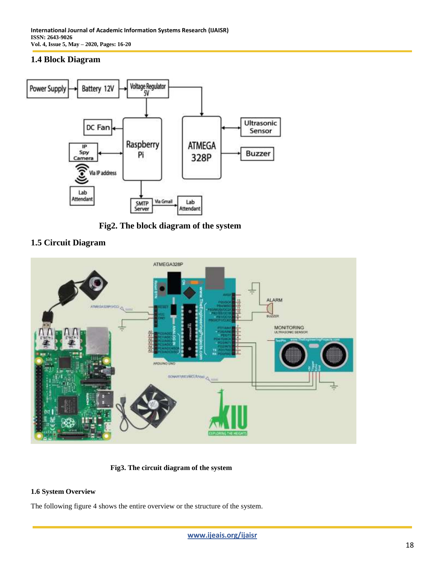# **1.4 Block Diagram**



**Fig2. The block diagram of the system**





**Fig3. The circuit diagram of the system**

# **1.6 System Overview**

The following figure 4 shows the entire overview or the structure of the system.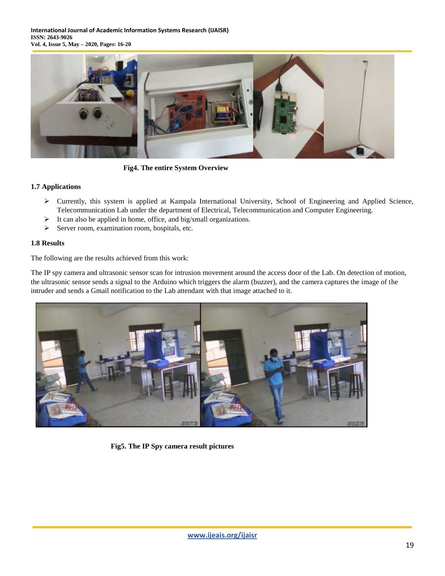**International Journal of Academic Information Systems Research (IJAISR) ISSN: 2643-9026 Vol. 4, Issue 5, May – 2020, Pages: 16-20**



**Fig4. The entire System Overview**

# **1.7 Applications**

- $\triangleright$  Currently, this system is applied at Kampala International University, School of Engineering and Applied Science, Telecommunication Lab under the department of Electrical, Telecommunication and Computer Engineering.
- $\triangleright$  It can also be applied in home, office, and big/small organizations.
- $\triangleright$  Server room, examination room, hospitals, etc.

# **1.8 Results**

The following are the results achieved from this work:

The IP spy camera and ultrasonic sensor scan for intrusion movement around the access door of the Lab. On detection of motion, the ultrasonic sensor sends a signal to the Arduino which triggers the alarm (buzzer), and the camera captures the image of the intruder and sends a Gmail notification to the Lab attendant with that image attached to it.



**Fig5. The IP Spy camera result pictures**